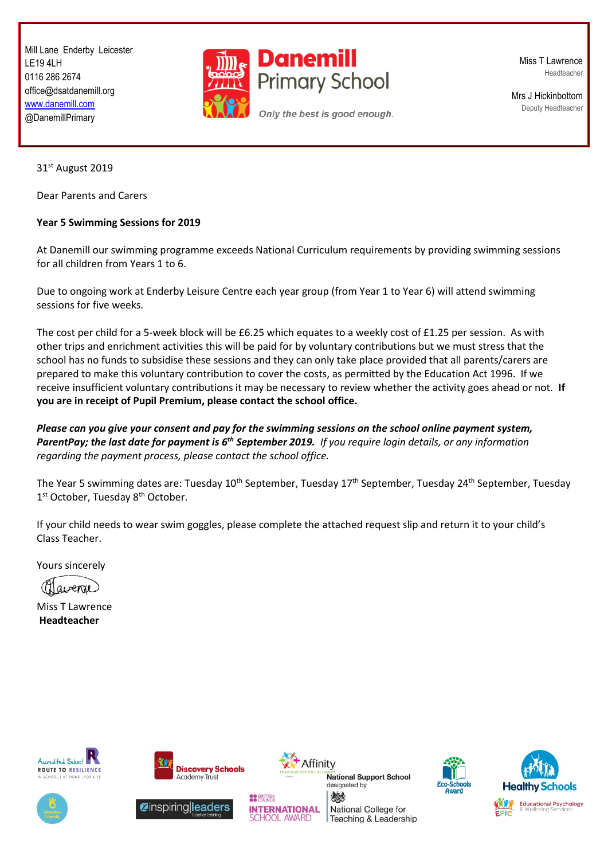Mill Lane Enderby Leicester LE19 4LH 0116 286 2674 office@dsatdanemill.org [www.danemill.com](http://www.danemill.com/) @DanemillPrimary



Miss T Lawrence Headteacher

Mrs J Hickinbottom Deputy Headteacher

31st August 2019

Dear Parents and Carers

## **Year 5 Swimming Sessions for 2019**

At Danemill our swimming programme exceeds National Curriculum requirements by providing swimming sessions for all children from Years 1 to 6.

Due to ongoing work at Enderby Leisure Centre each year group (from Year 1 to Year 6) will attend swimming sessions for five weeks.

The cost per child for a 5-week block will be £6.25 which equates to a weekly cost of £1.25 per session. As with other trips and enrichment activities this will be paid for by voluntary contributions but we must stress that the school has no funds to subsidise these sessions and they can only take place provided that all parents/carers are prepared to make this voluntary contribution to cover the costs, as permitted by the Education Act 1996. If we receive insufficient voluntary contributions it may be necessary to review whether the activity goes ahead or not. **If you are in receipt of Pupil Premium, please contact the school office.**

*Please can you give your consent and pay for the swimming sessions on the school online payment system, ParentPay; the last date for payment is 6 th September 2019. If you require login details, or any information regarding the payment process, please contact the school office.*

The Year 5 swimming dates are: Tuesday 10<sup>th</sup> September, Tuesday 17<sup>th</sup> September, Tuesday 24<sup>th</sup> September, Tuesday 1<sup>st</sup> October, Tuesday 8<sup>th</sup> October.

If your child needs to wear swim goggles, please complete the attached request slip and return it to your child's Class Teacher.

Yours sincerely

(Margenne)

Miss T Lawrence **Headteacher**









Affinity

**National Support School** designated by 燃 National College for

Teaching & Leadership